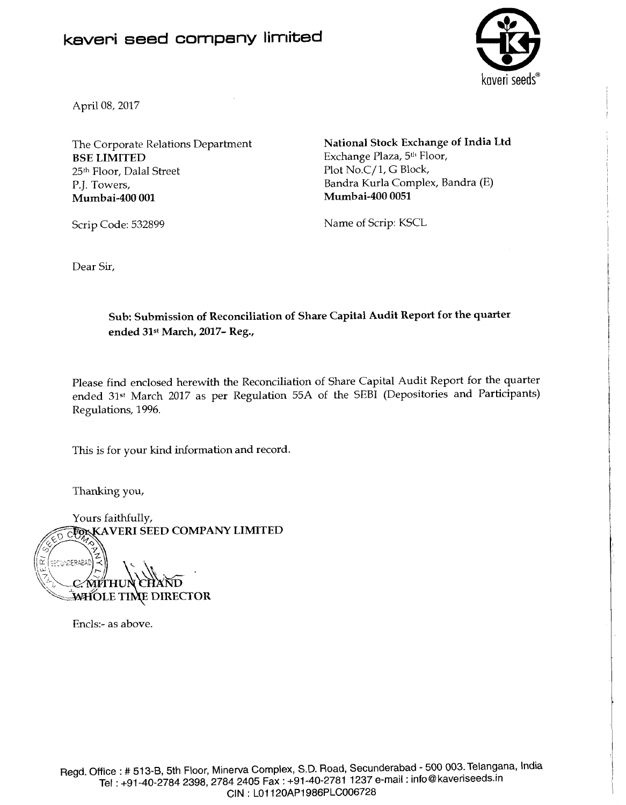## **kaveri seed company limited**



April 08, 2017

The Corporate Relations Department **BSE LIMITED**  25<sup>th</sup> Floor, Dalal Street P.J. Towers, **Mumbai-400 001** 

**National Stock Exchange of India Ltd**  Exchange Plaza, 5<sup>th</sup> Floor, Plot No.C/1, G Block, Bandra Kurla Complex, Bandra (E) **Mumbai-400 0051** 

Scrip Code: 532899

Name of Scrip: KSCL

Dear Sir,

**Sub: Submission of Reconciliation of Share Capital Audit Report** for **the quarter**  ended 31<sup>st</sup> March, 2017- Reg.,

Please find enclosed herewith the Reconciliation of Share Capital Audit Report for the quarter ended 31st March 2017 as per Regulation 55A of the SEBI (Depositories and Participants) Regulations, 1996.

This is for your kind information and record.

Thanking you,

Yours faithfully,<br>
FOXKAVERI SEED COMPANY LIMITED ΩŽ SECUNDERABAD **'\;W'OLE TI~E DIRECTOR** 

Enc1s:- as above.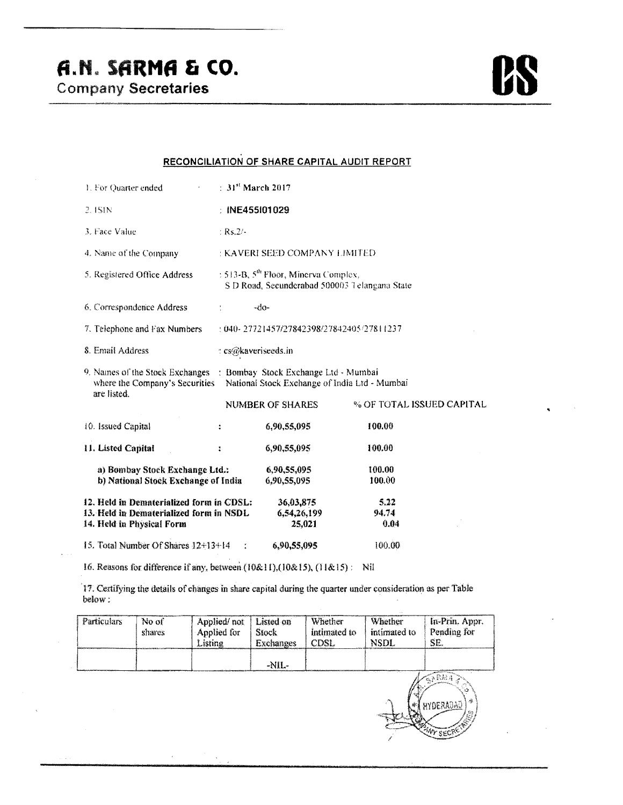K

## RECONCILIATION OF SHARE CAPITAL AUDIT REPORT

| 1. For Quarter ended<br>$\sigma_{\rm{max}}=0.1$                                                                  | $\div 31^8$ March 2017                                                                     |                                                                                       |                           |  |  |  |
|------------------------------------------------------------------------------------------------------------------|--------------------------------------------------------------------------------------------|---------------------------------------------------------------------------------------|---------------------------|--|--|--|
| $2.1$ SIN                                                                                                        | : INE455101029                                                                             |                                                                                       |                           |  |  |  |
| 3. Face Value                                                                                                    | $:$ Rs.2/-                                                                                 |                                                                                       |                           |  |  |  |
| 4. Name of the Company                                                                                           | : KAVERI SEED COMPANY LIMITED                                                              |                                                                                       |                           |  |  |  |
| 5. Registered Office Address                                                                                     | : 513-B, $5^{th}$ Floor, Minerva Complex,<br>S D Road, Secunderabad 500003 Telangana State |                                                                                       |                           |  |  |  |
| 6. Correspondence Address                                                                                        |                                                                                            | $-do-$                                                                                |                           |  |  |  |
| 7. Telephone and Fax Numbers                                                                                     | : 040- 27721457/27842398/27842405/27811237                                                 |                                                                                       |                           |  |  |  |
| 8. Email Address                                                                                                 | : cs@kaveriseeds.in                                                                        |                                                                                       |                           |  |  |  |
| 9. Names of the Stock Exchanges<br>where the Company's Securities<br>are listed.                                 |                                                                                            | : Bombay Stock Exchange Ltd - Mumbai<br>National Stock Exchange of India Ltd - Mumbai |                           |  |  |  |
|                                                                                                                  |                                                                                            | <b>NUMBER OF SHARES</b>                                                               | % OF TOTAL ISSUED CAPITAL |  |  |  |
| 10. Issued Capital                                                                                               | ÷                                                                                          | 6,90,55,095                                                                           | 100.00                    |  |  |  |
| 11. Listed Capital                                                                                               | ÷                                                                                          | 6,90,55,095                                                                           | 100.00                    |  |  |  |
| a) Bombay Stock Exchange Ltd.:<br>b) National Stock Exchange of India                                            |                                                                                            | 6,90,55,095<br>6.90.55.095                                                            | 100.00<br>100.00          |  |  |  |
| 12. Held in Dematerialized form in CDSL:<br>13. Held in Dematerialized form in NSDL<br>14. Held in Physical Form |                                                                                            | 36,03,875<br>6,54,26,199<br>25,021                                                    | 5.22<br>94.74<br>0.04     |  |  |  |
| 15. Total Number Of Shares 12+13+14                                                                              | Ŷ.                                                                                         | 6,90,55,095                                                                           | 100.00                    |  |  |  |

16. Reasons for difference if any, between (10&11),(10&15), (11&15): Nil

17. Certifying the details of changes in share capital during the quarter under consideration as per Table below:

| Particulars | No of<br>shares | Applied/not<br>Applied for<br>Listing | Listed on<br>Stock.<br><b>Exchanges</b> | Whether<br>intimated to<br>CDSL | Whether<br>intimated to<br>NSDL- | In-Prin. Appr.<br>Pending for<br>SE. |
|-------------|-----------------|---------------------------------------|-----------------------------------------|---------------------------------|----------------------------------|--------------------------------------|
|             |                 |                                       | -NIL-                                   |                                 |                                  |                                      |
|             |                 |                                       |                                         |                                 |                                  | $\mathbb{Z}_2$ RM4                   |
|             |                 |                                       |                                         |                                 |                                  | - 秦<br>HYDERAOAD)                    |
|             |                 |                                       |                                         |                                 |                                  | <b>PANY SECRET</b>                   |